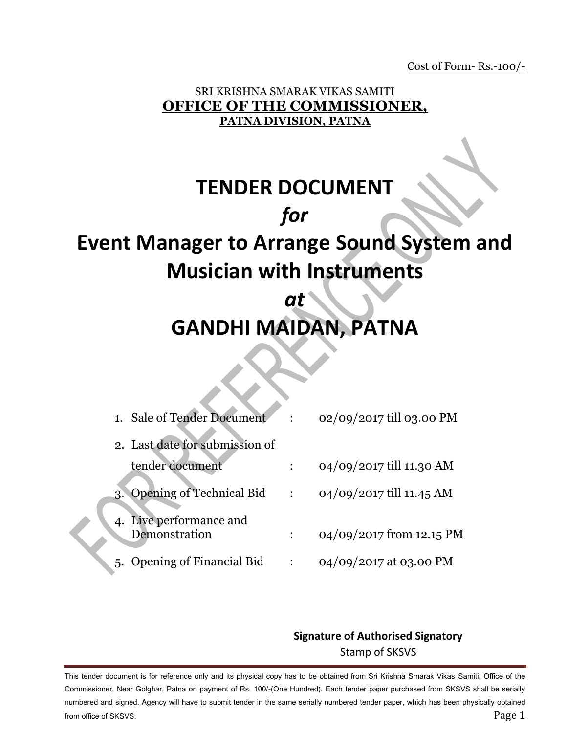Cost of Form- Rs.-100/-

## SRI KRISHNA SMARAK VIKAS SAMITI **OFFICE OF THE COMMISSIONER, PATNA DIVISION, PATNA**

# **TENDER DOCUMENT** *for* **Event Manager to Arrange Sound System and Musician with Instruments**

## *at*  **GANDHI MAIDAN, PATNA**

|    | 1. Sale of Tender Document               |              | 02/09/2017 till 03.00 PM |
|----|------------------------------------------|--------------|--------------------------|
|    | 2. Last date for submission of           |              |                          |
|    | tender document                          |              | 04/09/2017 till 11.30 AM |
| 3. | <b>Opening of Technical Bid</b>          | $\mathbf{L}$ | 04/09/2017 till 11.45 AM |
|    | 4. Live performance and<br>Demonstration |              | 04/09/2017 from 12.15 PM |
|    | 5. Opening of Financial Bid              |              | 04/09/2017 at 03.00 PM   |

## **Signature of Authorised Signatory** Stamp of SKSVS

This tender document is for reference only and its physical copy has to be obtained from Sri Krishna Smarak Vikas Samiti, Office of the Commissioner, Near Golghar, Patna on payment of Rs. 100/-(One Hundred). Each tender paper purchased from SKSVS shall be serially numbered and signed. Agency will have to submit tender in the same serially numbered tender paper, which has been physically obtained from office of SKSVS. Page 1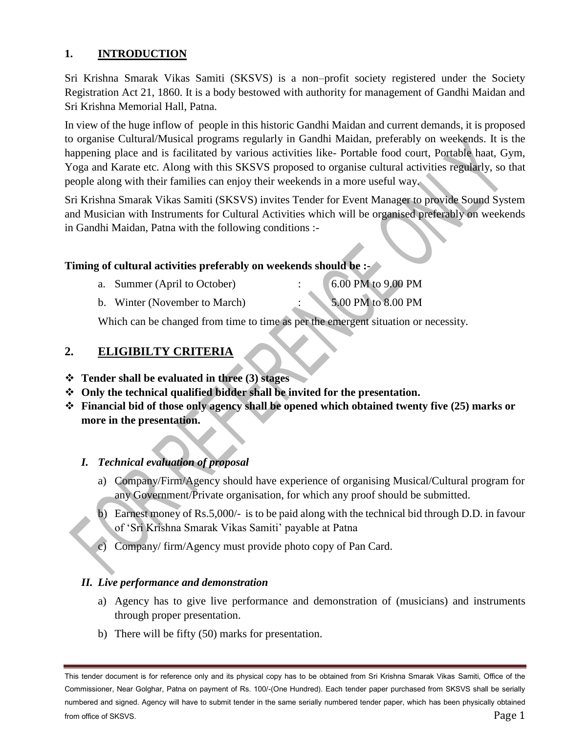#### **1. INTRODUCTION**

Sri Krishna Smarak Vikas Samiti (SKSVS) is a non–profit society registered under the Society Registration Act 21, 1860. It is a body bestowed with authority for management of Gandhi Maidan and Sri Krishna Memorial Hall, Patna.

In view of the huge inflow of people in this historic Gandhi Maidan and current demands, it is proposed to organise Cultural/Musical programs regularly in Gandhi Maidan, preferably on weekends. It is the happening place and is facilitated by various activities like- Portable food court, Portable haat, Gym, Yoga and Karate etc. Along with this SKSVS proposed to organise cultural activities regularly, so that people along with their families can enjoy their weekends in a more useful way.

Sri Krishna Smarak Vikas Samiti (SKSVS) invites Tender for Event Manager to provide Sound System and Musician with Instruments for Cultural Activities which will be organised preferably on weekends in Gandhi Maidan, Patna with the following conditions :-

#### **Timing of cultural activities preferably on weekends should be :-**

| a. Summer (April to October)  | 6.00 PM to 9.00 PM |
|-------------------------------|--------------------|
| b. Winter (November to March) | 5.00 PM to 8.00 PM |

Which can be changed from time to time as per the emergent situation or necessity.

#### **2. ELIGIBILTY CRITERIA**

#### **Tender shall be evaluated in three (3) stages**

- **Only the technical qualified bidder shall be invited for the presentation.**
- **Financial bid of those only agency shall be opened which obtained twenty five (25) marks or more in the presentation.**

#### *I. Technical evaluation of proposal*

- a) Company/Firm/Agency should have experience of organising Musical/Cultural program for any Government/Private organisation, for which any proof should be submitted.
- b) Earnest money of Rs.5,000/- is to be paid along with the technical bid through D.D. in favour of 'Sri Krishna Smarak Vikas Samiti' payable at Patna
- c) Company/ firm/Agency must provide photo copy of Pan Card.

#### *II. Live performance and demonstration*

- a) Agency has to give live performance and demonstration of (musicians) and instruments through proper presentation.
- b) There will be fifty (50) marks for presentation.

This tender document is for reference only and its physical copy has to be obtained from Sri Krishna Smarak Vikas Samiti, Office of the Commissioner, Near Golghar, Patna on payment of Rs. 100/-(One Hundred). Each tender paper purchased from SKSVS shall be serially numbered and signed. Agency will have to submit tender in the same serially numbered tender paper, which has been physically obtained from office of SKSVS. Page 1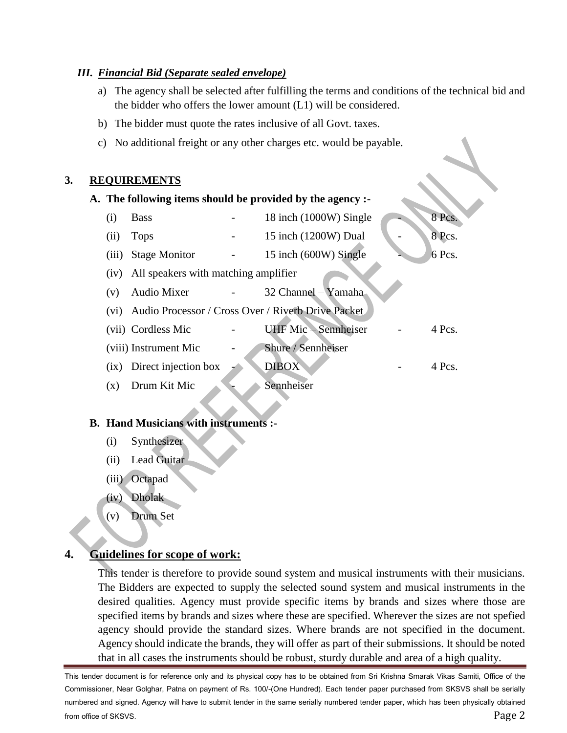#### *III. Financial Bid (Separate sealed envelope)*

- a) The agency shall be selected after fulfilling the terms and conditions of the technical bid and the bidder who offers the lower amount (L1) will be considered.
- b) The bidder must quote the rates inclusive of all Govt. taxes.
- c) No additional freight or any other charges etc. would be payable.

#### **3. REQUIREMENTS**

| A. The following items should be provided by the agency :- |                       |  |                                                    |  |        |
|------------------------------------------------------------|-----------------------|--|----------------------------------------------------|--|--------|
| (i)                                                        | <b>Bass</b>           |  | 18 inch (1000W) Single                             |  | 8 Pcs. |
| (ii)                                                       | <b>Tops</b>           |  | 15 inch (1200W) Dual                               |  | 8 Pcs. |
| (iii)                                                      | <b>Stage Monitor</b>  |  | 15 inch (600W) Single                              |  | 6 Pcs. |
| All speakers with matching amplifier<br>(iv)               |                       |  |                                                    |  |        |
| (v)                                                        | <b>Audio Mixer</b>    |  | 32 Channel – Yamaha                                |  |        |
| (vi)                                                       |                       |  | Audio Processor / Cross Over / Riverb Drive Packet |  |        |
|                                                            | (vii) Cordless Mic    |  | <b>UHF</b> Mic - Sennheiser                        |  | 4 Pcs. |
|                                                            | (viii) Instrument Mic |  | Shure / Sennheiser                                 |  |        |
| $\overline{1}X$                                            | Direct injection box  |  | <b>DIBOX</b>                                       |  | 4 Pcs. |
| (x)                                                        | Drum Kit Mic          |  | Sennheiser                                         |  |        |
|                                                            |                       |  |                                                    |  |        |

#### **B. Hand Musicians with instruments :-**

- (i) Synthesizer
- (ii) Lead Guitar
- (iii) Octapad
- (iv) Dholak
- (v) Drum Set

## **4. Guidelines for scope of work:**

This tender is therefore to provide sound system and musical instruments with their musicians. The Bidders are expected to supply the selected sound system and musical instruments in the desired qualities. Agency must provide specific items by brands and sizes where those are specified items by brands and sizes where these are specified. Wherever the sizes are not spefied agency should provide the standard sizes. Where brands are not specified in the document. Agency should indicate the brands, they will offer as part of their submissions. It should be noted that in all cases the instruments should be robust, sturdy durable and area of a high quality.

This tender document is for reference only and its physical copy has to be obtained from Sri Krishna Smarak Vikas Samiti, Office of the Commissioner, Near Golghar, Patna on payment of Rs. 100/-(One Hundred). Each tender paper purchased from SKSVS shall be serially numbered and signed. Agency will have to submit tender in the same serially numbered tender paper, which has been physically obtained from office of SKSVS. Page 2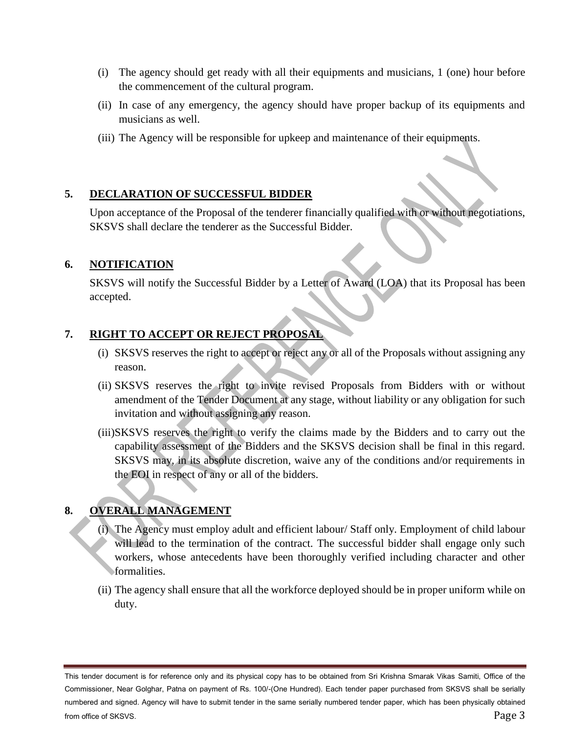- (i) The agency should get ready with all their equipments and musicians, 1 (one) hour before the commencement of the cultural program.
- (ii) In case of any emergency, the agency should have proper backup of its equipments and musicians as well.
- (iii) The Agency will be responsible for upkeep and maintenance of their equipments.

#### **5. DECLARATION OF SUCCESSFUL BIDDER**

Upon acceptance of the Proposal of the tenderer financially qualified with or without negotiations, SKSVS shall declare the tenderer as the Successful Bidder.

#### **6. NOTIFICATION**

SKSVS will notify the Successful Bidder by a Letter of Award (LOA) that its Proposal has been accepted.

#### **7. RIGHT TO ACCEPT OR REJECT PROPOSAL**

- (i) SKSVS reserves the right to accept or reject any or all of the Proposals without assigning any reason.
- (ii) SKSVS reserves the right to invite revised Proposals from Bidders with or without amendment of the Tender Document at any stage, without liability or any obligation for such invitation and without assigning any reason.
- (iii)SKSVS reserves the right to verify the claims made by the Bidders and to carry out the capability assessment of the Bidders and the SKSVS decision shall be final in this regard. SKSVS may, in its absolute discretion, waive any of the conditions and/or requirements in the EOI in respect of any or all of the bidders.

## **8. OVERALL MANAGEMENT**

- (i) The Agency must employ adult and efficient labour/ Staff only. Employment of child labour will lead to the termination of the contract. The successful bidder shall engage only such workers, whose antecedents have been thoroughly verified including character and other formalities.
- (ii) The agency shall ensure that all the workforce deployed should be in proper uniform while on duty.

This tender document is for reference only and its physical copy has to be obtained from Sri Krishna Smarak Vikas Samiti, Office of the Commissioner, Near Golghar, Patna on payment of Rs. 100/-(One Hundred). Each tender paper purchased from SKSVS shall be serially numbered and signed. Agency will have to submit tender in the same serially numbered tender paper, which has been physically obtained from office of SKSVS. Page 3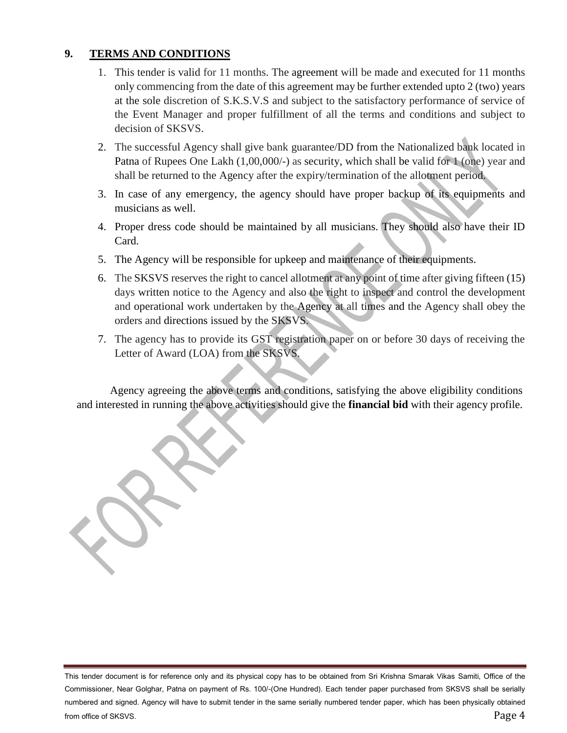#### **9. TERMS AND CONDITIONS**

- 1. This tender is valid for 11 months. The agreement will be made and executed for 11 months only commencing from the date of this agreement may be further extended upto 2 (two) years at the sole discretion of S.K.S.V.S and subject to the satisfactory performance of service of the Event Manager and proper fulfillment of all the terms and conditions and subject to decision of SKSVS.
- 2. The successful Agency shall give bank guarantee/DD from the Nationalized bank located in Patna of Rupees One Lakh (1,00,000/-) as security, which shall be valid for 1 (one) year and shall be returned to the Agency after the expiry/termination of the allotment period.
- 3. In case of any emergency, the agency should have proper backup of its equipments and musicians as well.
- 4. Proper dress code should be maintained by all musicians. They should also have their ID Card.
- 5. The Agency will be responsible for upkeep and maintenance of their equipments.
- 6. The SKSVS reserves the right to cancel allotment at any point of time after giving fifteen (15) days written notice to the Agency and also the right to inspect and control the development and operational work undertaken by the Agency at all times and the Agency shall obey the orders and directions issued by the SKSVS.
- 7. The agency has to provide its GST registration paper on or before 30 days of receiving the Letter of Award (LOA) from the SKSVS.

Agency agreeing the above terms and conditions, satisfying the above eligibility conditions and interested in running the above activities should give the **financial bid** with their agency profile.

This tender document is for reference only and its physical copy has to be obtained from Sri Krishna Smarak Vikas Samiti, Office of the Commissioner, Near Golghar, Patna on payment of Rs. 100/-(One Hundred). Each tender paper purchased from SKSVS shall be serially numbered and signed. Agency will have to submit tender in the same serially numbered tender paper, which has been physically obtained from office of SKSVS. Page 4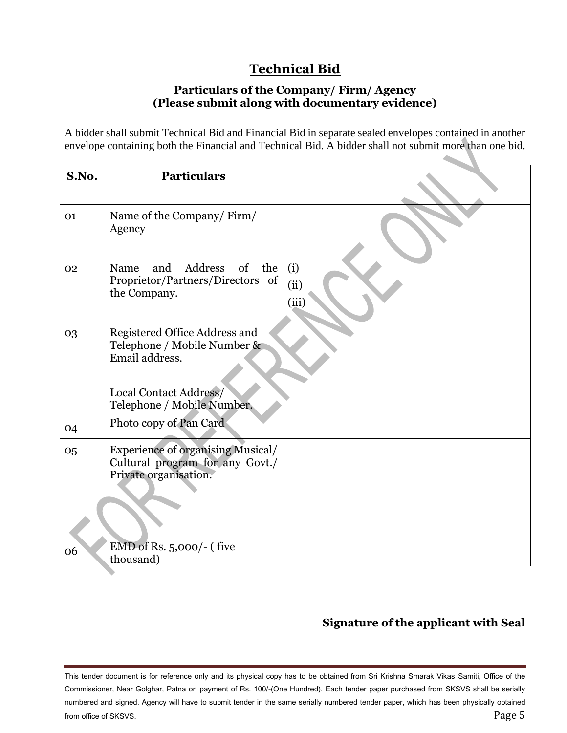## **Technical Bid**

#### **Particulars of the Company/ Firm/ Agency (Please submit along with documentary evidence)**

A bidder shall submit Technical Bid and Financial Bid in separate sealed envelopes contained in another envelope containing both the Financial and Technical Bid. A bidder shall not submit more than one bid.

| S.No. | <b>Particulars</b>                                                                                                                     |                      |
|-------|----------------------------------------------------------------------------------------------------------------------------------------|----------------------|
| 01    | Name of the Company/Firm/<br>Agency                                                                                                    |                      |
| 02    | Address of the<br>Name<br>and<br>Proprietor/Partners/Directors of<br>the Company.                                                      | (i)<br>(ii)<br>(iii) |
| 03    | Registered Office Address and<br>Telephone / Mobile Number &<br>Email address.<br>Local Contact Address/<br>Telephone / Mobile Number. |                      |
| 04    | Photo copy of Pan Card                                                                                                                 |                      |
| 05    | <b>Experience of organising Musical/</b><br>Cultural program for any Govt./<br>Private organisation.                                   |                      |
| 06    | EMD of Rs. 5,000/- (five<br>thousand)                                                                                                  |                      |

## **Signature of the applicant with Seal**

This tender document is for reference only and its physical copy has to be obtained from Sri Krishna Smarak Vikas Samiti, Office of the Commissioner, Near Golghar, Patna on payment of Rs. 100/-(One Hundred). Each tender paper purchased from SKSVS shall be serially numbered and signed. Agency will have to submit tender in the same serially numbered tender paper, which has been physically obtained from office of SKSVS. Page 5